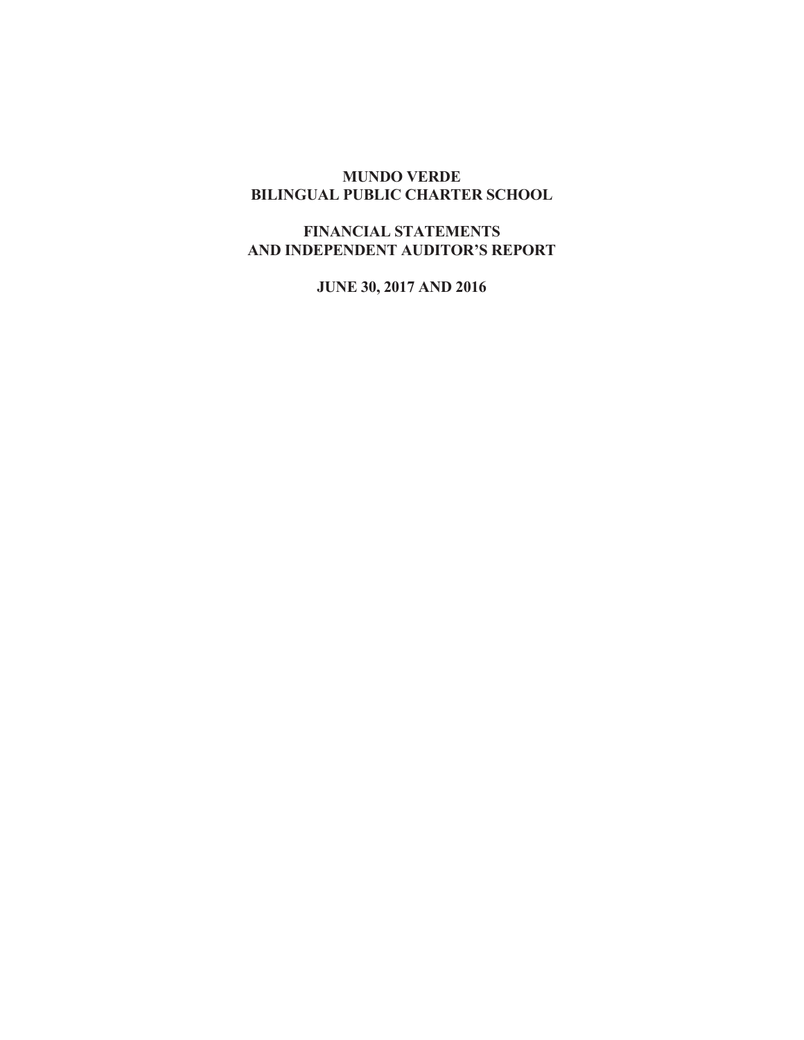## **MUNDO VERDE BILINGUAL PUBLIC CHARTER SCHOOL**

## **FINANCIAL STATEMENTS AND INDEPENDENT AUDITOR'S REPORT**

**JUNE 30, 2017 AND 2016**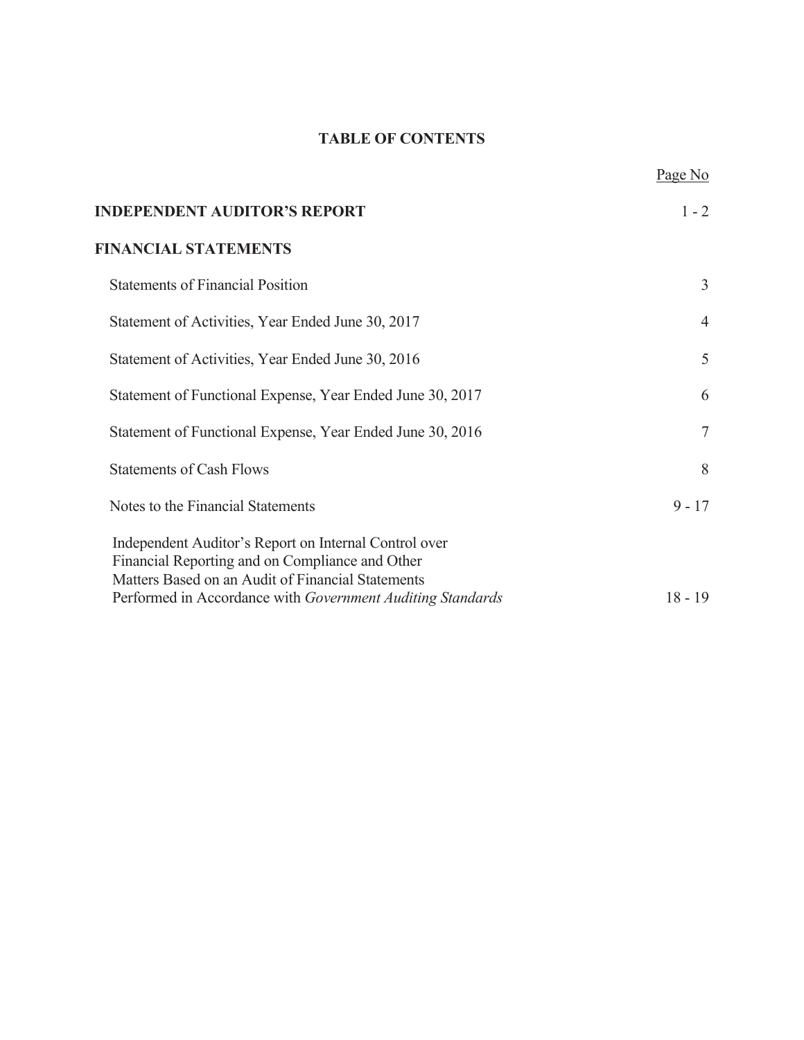# **TABLE OF CONTENTS**

|                                                                                                                                                               | Page No        |
|---------------------------------------------------------------------------------------------------------------------------------------------------------------|----------------|
| <b>INDEPENDENT AUDITOR'S REPORT</b>                                                                                                                           | $1 - 2$        |
| <b>FINANCIAL STATEMENTS</b>                                                                                                                                   |                |
| <b>Statements of Financial Position</b>                                                                                                                       | 3              |
| Statement of Activities, Year Ended June 30, 2017                                                                                                             | $\overline{4}$ |
| Statement of Activities, Year Ended June 30, 2016                                                                                                             | 5              |
| Statement of Functional Expense, Year Ended June 30, 2017                                                                                                     | 6              |
| Statement of Functional Expense, Year Ended June 30, 2016                                                                                                     | $\tau$         |
| <b>Statements of Cash Flows</b>                                                                                                                               | 8              |
| Notes to the Financial Statements                                                                                                                             | $9 - 17$       |
| Independent Auditor's Report on Internal Control over<br>Financial Reporting and on Compliance and Other<br>Matters Based on an Audit of Financial Statements |                |
| Performed in Accordance with Government Auditing Standards                                                                                                    | $18 - 19$      |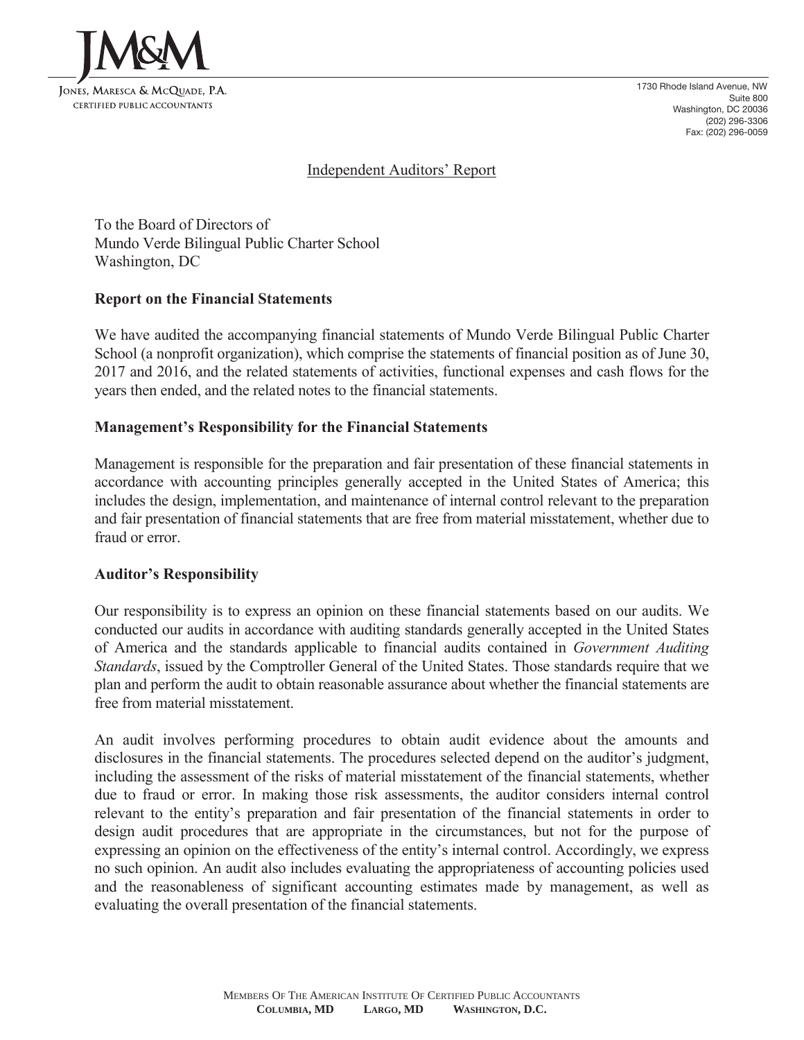

1730 Rhode Island Avenue, NW Suite 800 Washington, DC 20036 (202) 296-3306 Fax: (202) 296-0059

### Independent Auditors' Report

To the Board of Directors of Mundo Verde Bilingual Public Charter School Washington, DC

### **Report on the Financial Statements**

We have audited the accompanying financial statements of Mundo Verde Bilingual Public Charter School (a nonprofit organization), which comprise the statements of financial position as of June 30, 2017 and 2016, and the related statements of activities, functional expenses and cash flows for the years then ended, and the related notes to the financial statements.

## **Management's Responsibility for the Financial Statements**

Management is responsible for the preparation and fair presentation of these financial statements in accordance with accounting principles generally accepted in the United States of America; this includes the design, implementation, and maintenance of internal control relevant to the preparation and fair presentation of financial statements that are free from material misstatement, whether due to fraud or error.

### **Auditor's Responsibility**

Our responsibility is to express an opinion on these financial statements based on our audits. We conducted our audits in accordance with auditing standards generally accepted in the United States of America and the standards applicable to financial audits contained in *Government Auditing Standards*, issued by the Comptroller General of the United States. Those standards require that we plan and perform the audit to obtain reasonable assurance about whether the financial statements are free from material misstatement.

An audit involves performing procedures to obtain audit evidence about the amounts and disclosures in the financial statements. The procedures selected depend on the auditor's judgment, including the assessment of the risks of material misstatement of the financial statements, whether due to fraud or error. In making those risk assessments, the auditor considers internal control relevant to the entity's preparation and fair presentation of the financial statements in order to design audit procedures that are appropriate in the circumstances, but not for the purpose of expressing an opinion on the effectiveness of the entity's internal control. Accordingly, we express no such opinion. An audit also includes evaluating the appropriateness of accounting policies used and the reasonableness of significant accounting estimates made by management, as well as evaluating the overall presentation of the financial statements.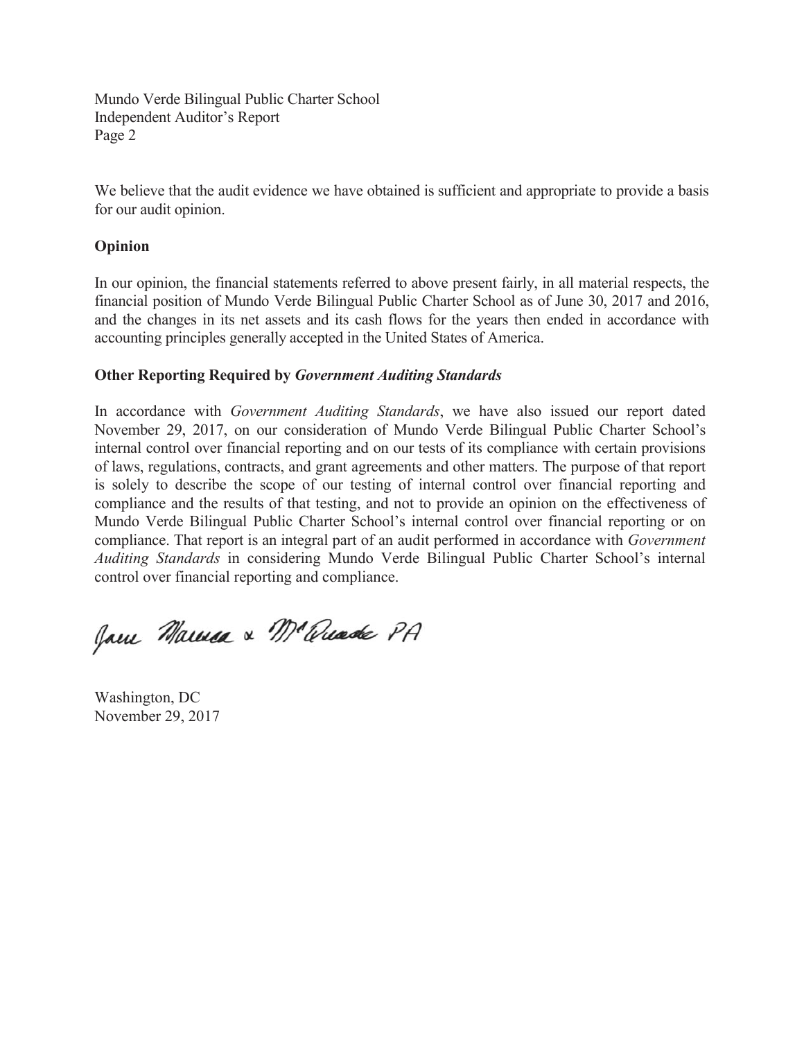Mundo Verde Bilingual Public Charter School Independent Auditor's Report Page 2

We believe that the audit evidence we have obtained is sufficient and appropriate to provide a basis for our audit opinion.

## **Opinion**

In our opinion, the financial statements referred to above present fairly, in all material respects, the financial position of Mundo Verde Bilingual Public Charter School as of June 30, 2017 and 2016, and the changes in its net assets and its cash flows for the years then ended in accordance with accounting principles generally accepted in the United States of America.

## **Other Reporting Required by** *Government Auditing Standards*

In accordance with *Government Auditing Standards*, we have also issued our report dated November 29, 2017, on our consideration of Mundo Verde Bilingual Public Charter School's internal control over financial reporting and on our tests of its compliance with certain provisions of laws, regulations, contracts, and grant agreements and other matters. The purpose of that report is solely to describe the scope of our testing of internal control over financial reporting and compliance and the results of that testing, and not to provide an opinion on the effectiveness of Mundo Verde Bilingual Public Charter School's internal control over financial reporting or on compliance. That report is an integral part of an audit performed in accordance with *Government Auditing Standards* in considering Mundo Verde Bilingual Public Charter School's internal control over financial reporting and compliance.

Jam Marmea & M. Quade PA

Washington, DC November 29, 2017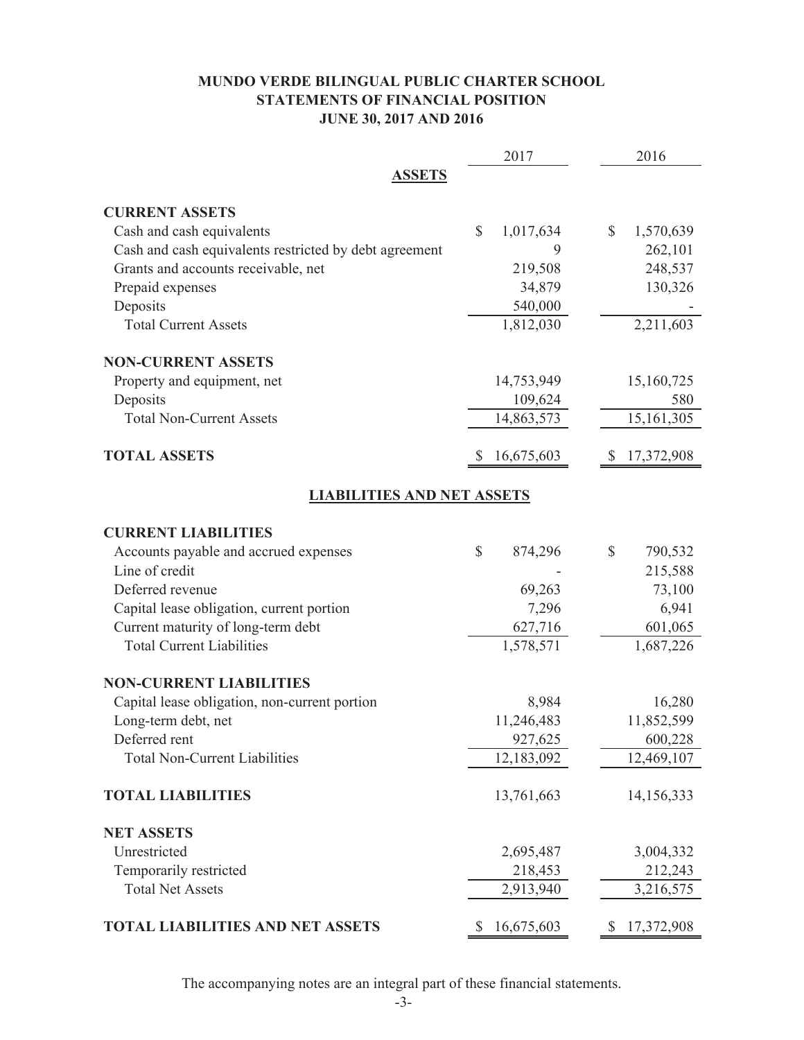## **MUNDO VERDE BILINGUAL PUBLIC CHARTER SCHOOL STATEMENTS OF FINANCIAL POSITION JUNE 30, 2017 AND 2016**

|                                                        | 2017                       | 2016            |
|--------------------------------------------------------|----------------------------|-----------------|
| <b>ASSETS</b>                                          |                            |                 |
| <b>CURRENT ASSETS</b>                                  |                            |                 |
| Cash and cash equivalents                              | $\mathcal{S}$<br>1,017,634 | 1,570,639<br>\$ |
| Cash and cash equivalents restricted by debt agreement | 9                          | 262,101         |
| Grants and accounts receivable, net                    | 219,508                    | 248,537         |
| Prepaid expenses                                       | 34,879                     | 130,326         |
| Deposits                                               | 540,000                    |                 |
| <b>Total Current Assets</b>                            | 1,812,030                  | 2,211,603       |
| <b>NON-CURRENT ASSETS</b>                              |                            |                 |
| Property and equipment, net                            | 14,753,949                 | 15,160,725      |
| Deposits                                               | 109,624                    | 580             |
| <b>Total Non-Current Assets</b>                        | 14,863,573                 | 15,161,305      |
| <b>TOTAL ASSETS</b>                                    | 16,675,603                 | 17,372,908      |
| <b>LIABILITIES AND NET ASSETS</b>                      |                            |                 |
| <b>CURRENT LIABILITIES</b>                             |                            |                 |
| Accounts payable and accrued expenses                  | $\mathbb{S}$<br>874,296    | \$<br>790,532   |
| Line of credit                                         |                            | 215,588         |
| Deferred revenue                                       | 69,263                     | 73,100          |
| Capital lease obligation, current portion              | 7,296                      | 6,941           |
| Current maturity of long-term debt                     | 627,716                    | 601,065         |
| <b>Total Current Liabilities</b>                       | 1,578,571                  | 1,687,226       |
| <b>NON-CURRENT LIABILITIES</b>                         |                            |                 |
| Capital lease obligation, non-current portion          | 8,984                      | 16,280          |
| Long-term debt, net                                    | 11,246,483                 | 11,852,599      |
| Deferred rent                                          | 927,625                    | 600,228         |
| <b>Total Non-Current Liabilities</b>                   | 12,183,092                 | 12,469,107      |
| <b>TOTAL LIABILITIES</b>                               | 13,761,663                 | 14,156,333      |
| <b>NET ASSETS</b>                                      |                            |                 |
| Unrestricted                                           | 2,695,487                  | 3,004,332       |
| Temporarily restricted                                 | 218,453                    | 212,243         |
| <b>Total Net Assets</b>                                | 2,913,940                  | 3,216,575       |
| <b>TOTAL LIABILITIES AND NET ASSETS</b>                | 16,675,603<br>\$           | 17,372,908<br>S |

The accompanying notes are an integral part of these financial statements.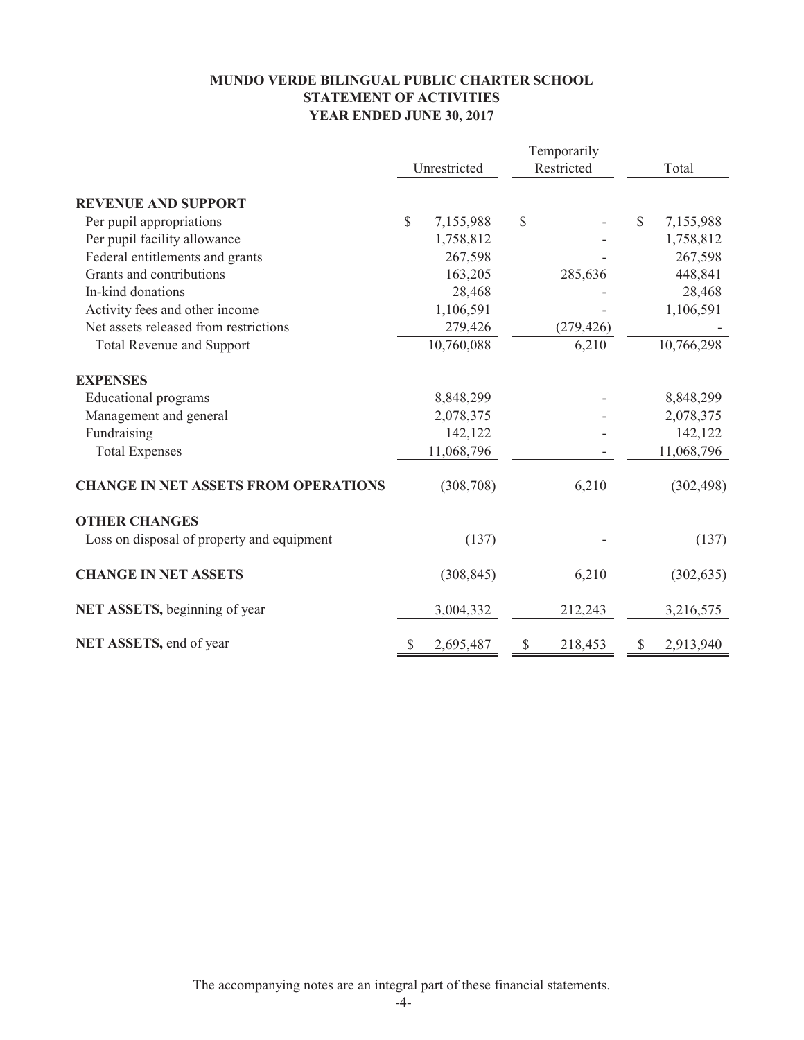## **MUNDO VERDE BILINGUAL PUBLIC CHARTER SCHOOL STATEMENT OF ACTIVITIES YEAR ENDED JUNE 30, 2017**

|                                             |               |            | Temporarily<br>Restricted<br>Unrestricted |            | Total |            |  |
|---------------------------------------------|---------------|------------|-------------------------------------------|------------|-------|------------|--|
|                                             |               |            |                                           |            |       |            |  |
| <b>REVENUE AND SUPPORT</b>                  |               |            |                                           |            |       |            |  |
| Per pupil appropriations                    | $\mathcal{S}$ | 7,155,988  | \$                                        |            | \$    | 7,155,988  |  |
| Per pupil facility allowance                |               | 1,758,812  |                                           |            |       | 1,758,812  |  |
| Federal entitlements and grants             |               | 267,598    |                                           |            |       | 267,598    |  |
| Grants and contributions                    |               | 163,205    |                                           | 285,636    |       | 448,841    |  |
| In-kind donations                           |               | 28,468     |                                           |            |       | 28,468     |  |
| Activity fees and other income              |               | 1,106,591  |                                           |            |       | 1,106,591  |  |
| Net assets released from restrictions       |               | 279,426    |                                           | (279, 426) |       |            |  |
| <b>Total Revenue and Support</b>            |               | 10,760,088 |                                           | 6,210      |       | 10,766,298 |  |
| <b>EXPENSES</b>                             |               |            |                                           |            |       |            |  |
| Educational programs                        |               | 8,848,299  |                                           |            |       | 8,848,299  |  |
| Management and general                      |               | 2,078,375  |                                           |            |       | 2,078,375  |  |
| Fundraising                                 |               | 142,122    |                                           |            |       | 142,122    |  |
| <b>Total Expenses</b>                       |               | 11,068,796 |                                           |            |       | 11,068,796 |  |
| <b>CHANGE IN NET ASSETS FROM OPERATIONS</b> |               | (308, 708) |                                           | 6,210      |       | (302, 498) |  |
| <b>OTHER CHANGES</b>                        |               |            |                                           |            |       |            |  |
| Loss on disposal of property and equipment  |               | (137)      |                                           |            |       | (137)      |  |
| <b>CHANGE IN NET ASSETS</b>                 |               | (308, 845) |                                           | 6,210      |       | (302, 635) |  |
| NET ASSETS, beginning of year               |               | 3,004,332  |                                           | 212,243    |       | 3,216,575  |  |
| NET ASSETS, end of year                     |               | 2,695,487  | S                                         | 218,453    | S     | 2,913,940  |  |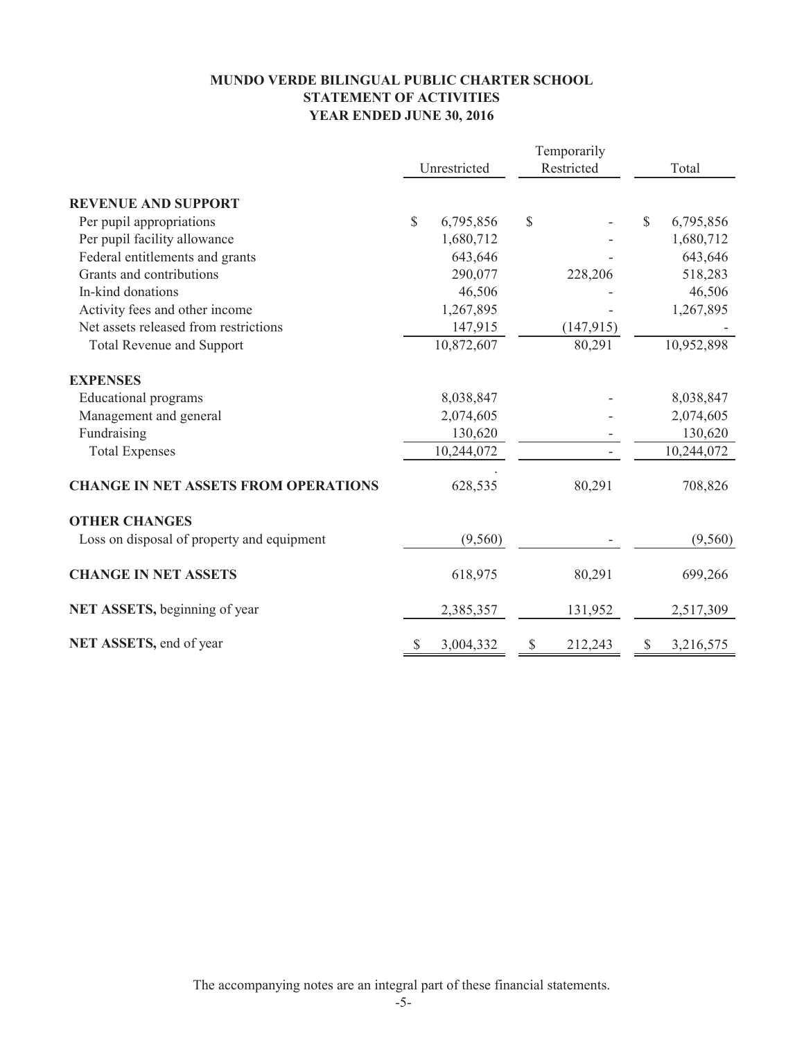## **MUNDO VERDE BILINGUAL PUBLIC CHARTER SCHOOL STATEMENT OF ACTIVITIES YEAR ENDED JUNE 30, 2016**

|                                             | Unrestricted |            | Temporarily<br>Restricted |              | Total      |
|---------------------------------------------|--------------|------------|---------------------------|--------------|------------|
| <b>REVENUE AND SUPPORT</b>                  |              |            |                           |              |            |
| Per pupil appropriations                    | \$           | 6,795,856  | \$                        | $\mathbb{S}$ | 6,795,856  |
| Per pupil facility allowance                |              | 1,680,712  |                           |              | 1,680,712  |
| Federal entitlements and grants             |              | 643,646    |                           |              | 643,646    |
| Grants and contributions                    |              | 290,077    | 228,206                   |              | 518,283    |
| In-kind donations                           |              | 46,506     |                           |              | 46,506     |
| Activity fees and other income              |              | 1,267,895  |                           |              | 1,267,895  |
| Net assets released from restrictions       |              | 147,915    | (147, 915)                |              |            |
| Total Revenue and Support                   |              | 10,872,607 | 80,291                    |              | 10,952,898 |
| <b>EXPENSES</b>                             |              |            |                           |              |            |
| <b>Educational</b> programs                 |              | 8,038,847  |                           |              | 8,038,847  |
| Management and general                      |              | 2,074,605  |                           |              | 2,074,605  |
| Fundraising                                 |              | 130,620    |                           |              | 130,620    |
| <b>Total Expenses</b>                       |              | 10,244,072 |                           |              | 10,244,072 |
| <b>CHANGE IN NET ASSETS FROM OPERATIONS</b> |              | 628,535    | 80,291                    |              | 708,826    |
| <b>OTHER CHANGES</b>                        |              |            |                           |              |            |
| Loss on disposal of property and equipment  |              | (9,560)    |                           |              | (9,560)    |
| <b>CHANGE IN NET ASSETS</b>                 |              | 618,975    | 80,291                    |              | 699,266    |
| NET ASSETS, beginning of year               |              | 2,385,357  | 131,952                   |              | 2,517,309  |
| NET ASSETS, end of year                     | \$           | 3,004,332  | \$<br>212,243             | \$           | 3,216,575  |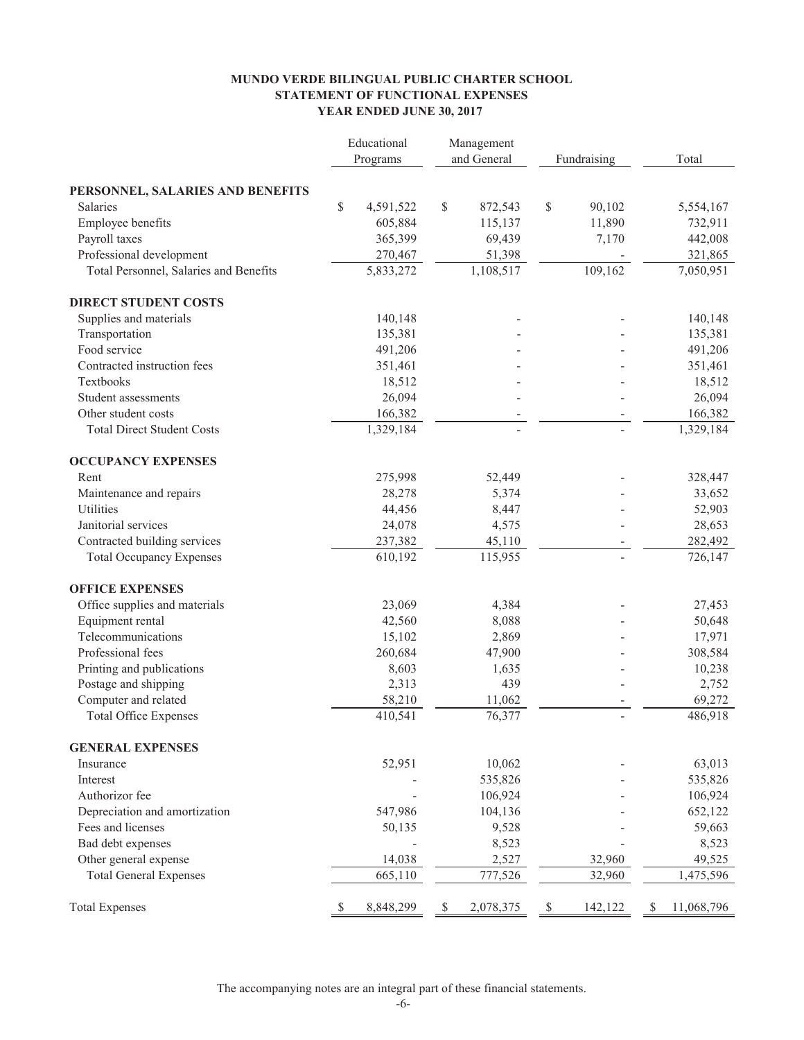#### **YEAR ENDED JUNE 30, 2017 STATEMENT OF FUNCTIONAL EXPENSES MUNDO VERDE BILINGUAL PUBLIC CHARTER SCHOOL**

|                                                      | Educational       |              | Management       |               |   |                   |
|------------------------------------------------------|-------------------|--------------|------------------|---------------|---|-------------------|
|                                                      | Programs          |              | and General      | Fundraising   |   | Total             |
| PERSONNEL, SALARIES AND BENEFITS                     |                   |              |                  |               |   |                   |
| Salaries                                             | \$<br>4,591,522   | \$           | 872,543          | \$<br>90,102  |   | 5,554,167         |
| Employee benefits                                    | 605,884           |              | 115,137          | 11,890        |   | 732,911           |
| Payroll taxes                                        | 365,399           |              | 69,439           | 7,170         |   | 442,008           |
| Professional development                             | 270,467           |              | 51,398           |               |   | 321,865           |
| Total Personnel, Salaries and Benefits               | 5,833,272         |              | 1,108,517        | 109,162       |   | 7,050,951         |
|                                                      |                   |              |                  |               |   |                   |
| <b>DIRECT STUDENT COSTS</b>                          |                   |              |                  |               |   |                   |
| Supplies and materials                               | 140,148           |              |                  |               |   | 140,148           |
| Transportation                                       | 135,381           |              |                  |               |   | 135,381           |
| Food service                                         | 491,206           |              |                  |               |   | 491,206           |
| Contracted instruction fees                          | 351,461           |              |                  |               |   | 351,461           |
| Textbooks                                            | 18,512            |              |                  |               |   | 18,512            |
| Student assessments                                  | 26,094            |              |                  |               |   | 26,094            |
| Other student costs                                  | 166,382           |              |                  |               |   | 166,382           |
| <b>Total Direct Student Costs</b>                    | 1,329,184         |              |                  |               |   | 1,329,184         |
| <b>OCCUPANCY EXPENSES</b>                            |                   |              |                  |               |   |                   |
| Rent                                                 | 275,998           |              | 52,449           |               |   | 328,447           |
| Maintenance and repairs                              | 28,278            |              | 5,374            |               |   | 33,652            |
| Utilities                                            | 44,456            |              | 8,447            |               |   | 52,903            |
| Janitorial services                                  | 24,078            |              | 4,575            |               |   | 28,653            |
| Contracted building services                         | 237,382           |              | 45,110           |               |   | 282,492           |
| <b>Total Occupancy Expenses</b>                      | 610,192           |              | 115,955          |               |   | 726,147           |
| <b>OFFICE EXPENSES</b>                               |                   |              |                  |               |   |                   |
|                                                      | 23,069            |              | 4,384            |               |   | 27,453            |
| Office supplies and materials                        |                   |              |                  |               |   |                   |
| Equipment rental                                     | 42,560            |              | 8,088            |               |   | 50,648            |
| Telecommunications                                   | 15,102            |              | 2,869            |               |   | 17,971            |
| Professional fees                                    | 260,684           |              | 47,900           |               |   | 308,584           |
| Printing and publications                            | 8,603             |              | 1,635            |               |   | 10,238            |
| Postage and shipping                                 | 2,313             |              | 439              |               |   | 2,752             |
| Computer and related<br><b>Total Office Expenses</b> | 58,210<br>410,541 |              | 11,062<br>76,377 |               |   | 69,272<br>486,918 |
|                                                      |                   |              |                  |               |   |                   |
| <b>GENERAL EXPENSES</b>                              |                   |              |                  |               |   |                   |
| Insurance                                            | 52,951            |              | 10,062           |               |   | 63,013            |
| Interest                                             |                   |              | 535,826          |               |   | 535,826           |
| Authorizor fee                                       |                   |              | 106,924          |               |   | 106,924           |
| Depreciation and amortization                        | 547,986           |              | 104,136          |               |   | 652,122           |
| Fees and licenses                                    | 50,135            |              | 9,528            |               |   | 59,663            |
| Bad debt expenses                                    |                   |              | 8,523            |               |   | 8,523             |
| Other general expense                                | 14,038            |              | 2,527            | 32,960        |   | 49,525            |
| <b>Total General Expenses</b>                        | 665,110           |              | 777,526          | 32,960        |   | 1,475,596         |
| <b>Total Expenses</b>                                | \$<br>8,848,299   | $\mathbb{S}$ | 2,078,375        | \$<br>142,122 | S | 11,068,796        |
|                                                      |                   |              |                  |               |   |                   |

The accompanying notes are an integral part of these financial statements.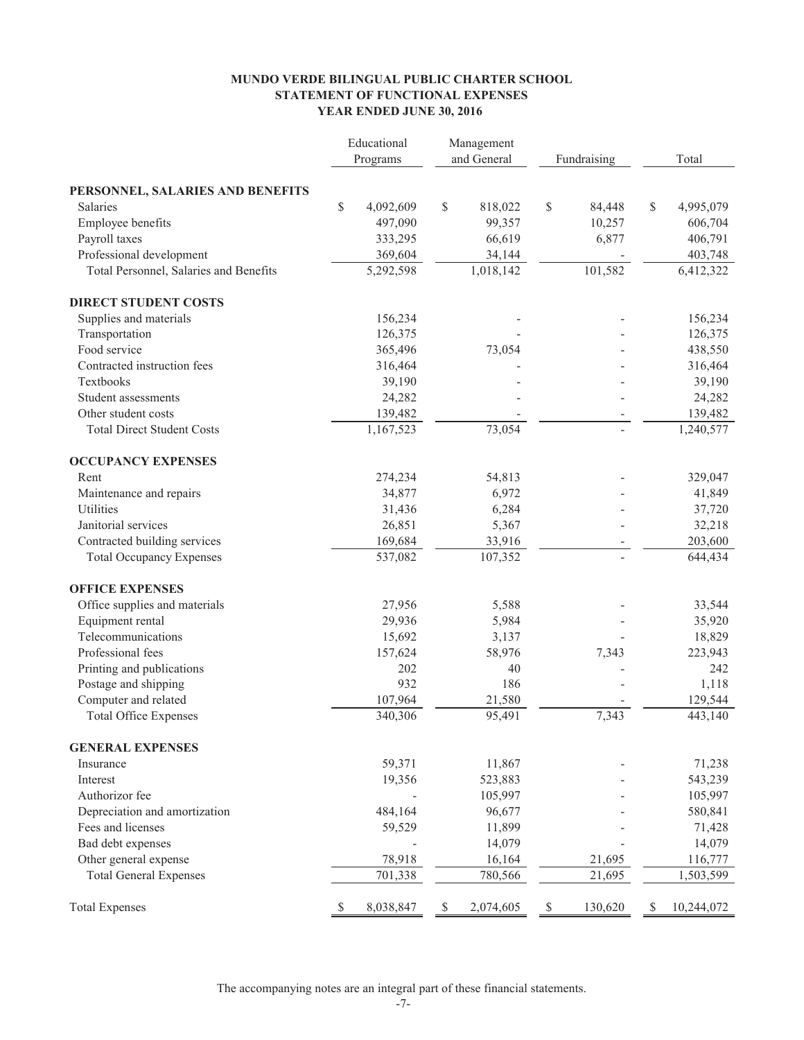#### **MUNDO VERDE BILINGUAL PUBLIC CHARTER SCHOOL STATEMENT OF FUNCTIONAL EXPENSES YEAR ENDED JUNE 30, 2016**

|                                                                 | Educational        | Management                |                         |                    |
|-----------------------------------------------------------------|--------------------|---------------------------|-------------------------|--------------------|
|                                                                 | Programs           | and General               | Fundraising             | Total              |
| PERSONNEL, SALARIES AND BENEFITS                                |                    |                           |                         |                    |
| Salaries                                                        | \$<br>4,092,609    | \$<br>818,022             | \$<br>84,448            | \$<br>4,995,079    |
| Employee benefits                                               | 497,090            | 99,357                    | 10,257                  | 606,704            |
| Payroll taxes                                                   | 333,295            | 66,619                    | 6,877                   | 406,791            |
| Professional development                                        | 369,604            | 34,144                    |                         | 403,748            |
| Total Personnel, Salaries and Benefits                          | 5,292,598          | 1,018,142                 | 101,582                 | 6,412,322          |
|                                                                 |                    |                           |                         |                    |
| <b>DIRECT STUDENT COSTS</b>                                     |                    |                           |                         |                    |
| Supplies and materials                                          | 156,234            |                           |                         | 156,234            |
| Transportation                                                  | 126,375            |                           |                         | 126,375            |
| Food service                                                    | 365,496            | 73,054                    |                         | 438,550            |
| Contracted instruction fees                                     | 316,464            |                           |                         | 316,464            |
| Textbooks                                                       | 39,190             |                           |                         | 39,190             |
| Student assessments                                             | 24,282             |                           |                         | 24,282             |
| Other student costs                                             | 139,482            |                           |                         | 139,482            |
| <b>Total Direct Student Costs</b>                               | 1,167,523          | 73,054                    |                         | 1,240,577          |
| <b>OCCUPANCY EXPENSES</b>                                       |                    |                           |                         |                    |
| Rent                                                            | 274,234            | 54,813                    |                         | 329,047            |
| Maintenance and repairs                                         | 34,877             | 6,972                     |                         | 41,849             |
| Utilities                                                       | 31,436             | 6,284                     |                         | 37,720             |
| Janitorial services                                             | 26,851             |                           |                         |                    |
|                                                                 |                    | 5,367                     |                         | 32,218             |
| Contracted building services<br><b>Total Occupancy Expenses</b> | 169,684<br>537,082 | 33,916<br>107,352         |                         | 203,600<br>644,434 |
|                                                                 |                    |                           |                         |                    |
| <b>OFFICE EXPENSES</b>                                          |                    |                           |                         |                    |
| Office supplies and materials                                   | 27,956             | 5,588                     |                         | 33,544             |
| Equipment rental                                                | 29,936             | 5,984                     |                         | 35,920             |
| Telecommunications                                              | 15,692             | 3,137                     |                         | 18,829             |
| Professional fees                                               | 157,624            | 58,976                    | 7,343                   | 223,943            |
| Printing and publications                                       | 202                | 40                        |                         | 242                |
| Postage and shipping                                            | 932                | 186                       |                         | 1,118              |
| Computer and related                                            | 107,964            | 21,580                    |                         | 129,544            |
| <b>Total Office Expenses</b>                                    | 340,306            | 95,491                    | 7,343                   | 443,140            |
| <b>GENERAL EXPENSES</b>                                         |                    |                           |                         |                    |
| Insurance                                                       | 59,371             | 11,867                    |                         | 71,238             |
| Interest                                                        | 19,356             | 523,883                   |                         | 543,239            |
| Authorizor fee                                                  |                    | 105,997                   |                         | 105,997            |
| Depreciation and amortization                                   | 484,164            | 96,677                    |                         | 580,841            |
| Fees and licenses                                               | 59,529             | 11,899                    |                         | 71,428             |
| Bad debt expenses                                               |                    | 14,079                    |                         | 14,079             |
| Other general expense                                           | 78,918             | 16,164                    | 21,695                  | 116,777            |
| <b>Total General Expenses</b>                                   | 701,338            | 780,566                   | 21,695                  | 1,503,599          |
|                                                                 |                    |                           |                         |                    |
| <b>Total Expenses</b>                                           | \$<br>8,038,847    | $\mathbb{S}$<br>2,074,605 | $\mathbb{S}$<br>130,620 | \$<br>10,244,072   |

The accompanying notes are an integral part of these financial statements.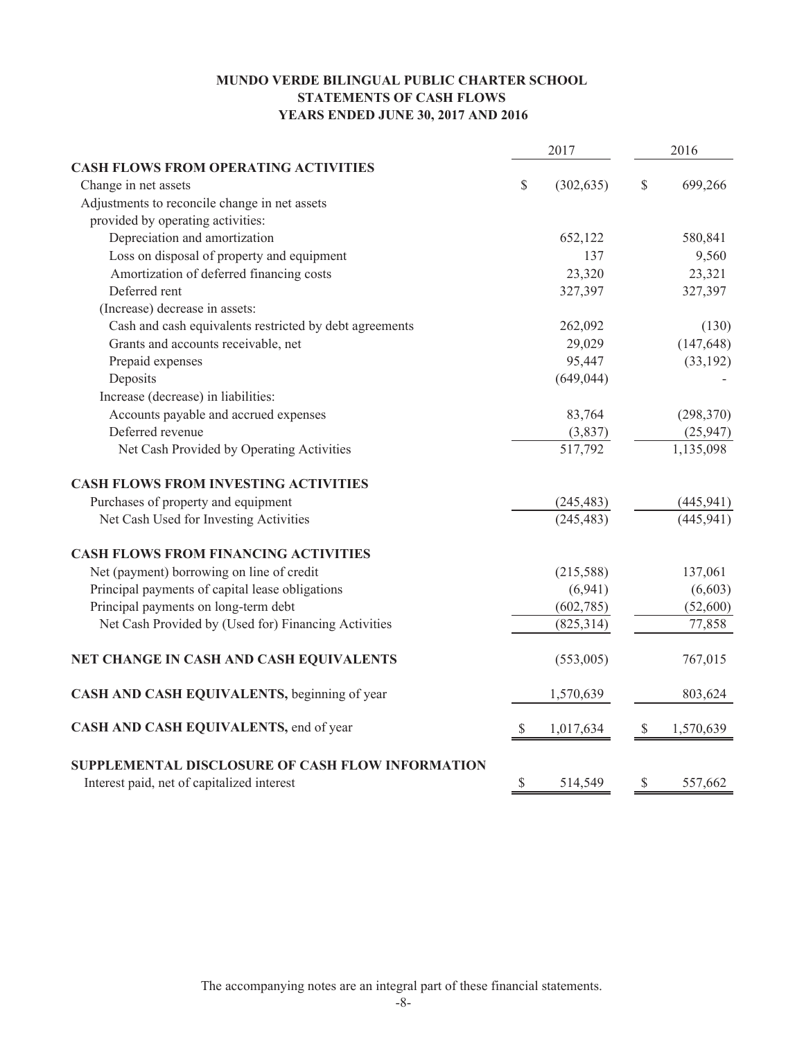## **MUNDO VERDE BILINGUAL PUBLIC CHARTER SCHOOL STATEMENTS OF CASH FLOWS YEARS ENDED JUNE 30, 2017 AND 2016**

|                                                                                                | 2017                      |            | 2016                      |            |  |
|------------------------------------------------------------------------------------------------|---------------------------|------------|---------------------------|------------|--|
| <b>CASH FLOWS FROM OPERATING ACTIVITIES</b>                                                    |                           |            |                           |            |  |
| Change in net assets                                                                           | \$                        | (302, 635) | \$                        | 699,266    |  |
| Adjustments to reconcile change in net assets                                                  |                           |            |                           |            |  |
| provided by operating activities:                                                              |                           |            |                           |            |  |
| Depreciation and amortization                                                                  |                           | 652,122    |                           | 580,841    |  |
| Loss on disposal of property and equipment                                                     |                           | 137        |                           | 9,560      |  |
| Amortization of deferred financing costs                                                       |                           | 23,320     |                           | 23,321     |  |
| Deferred rent                                                                                  |                           | 327,397    |                           | 327,397    |  |
| (Increase) decrease in assets:                                                                 |                           |            |                           |            |  |
| Cash and cash equivalents restricted by debt agreements                                        |                           | 262,092    |                           | (130)      |  |
| Grants and accounts receivable, net                                                            |                           | 29,029     |                           | (147, 648) |  |
| Prepaid expenses                                                                               |                           | 95,447     |                           | (33,192)   |  |
| Deposits                                                                                       |                           | (649, 044) |                           |            |  |
| Increase (decrease) in liabilities:                                                            |                           |            |                           |            |  |
| Accounts payable and accrued expenses                                                          |                           | 83,764     |                           | (298,370)  |  |
| Deferred revenue                                                                               |                           | (3,837)    |                           | (25, 947)  |  |
| Net Cash Provided by Operating Activities                                                      |                           | 517,792    |                           | 1,135,098  |  |
| <b>CASH FLOWS FROM INVESTING ACTIVITIES</b>                                                    |                           |            |                           |            |  |
| Purchases of property and equipment                                                            |                           | (245, 483) |                           | (445, 941) |  |
| Net Cash Used for Investing Activities                                                         |                           | (245, 483) |                           | (445, 941) |  |
| <b>CASH FLOWS FROM FINANCING ACTIVITIES</b>                                                    |                           |            |                           |            |  |
| Net (payment) borrowing on line of credit                                                      |                           | (215,588)  |                           | 137,061    |  |
| Principal payments of capital lease obligations                                                |                           | (6,941)    |                           | (6,603)    |  |
| Principal payments on long-term debt                                                           |                           | (602, 785) |                           | (52,600)   |  |
| Net Cash Provided by (Used for) Financing Activities                                           |                           | (825, 314) |                           | 77,858     |  |
| NET CHANGE IN CASH AND CASH EQUIVALENTS                                                        |                           | (553,005)  |                           | 767,015    |  |
| CASH AND CASH EQUIVALENTS, beginning of year                                                   |                           | 1,570,639  |                           | 803,624    |  |
| CASH AND CASH EQUIVALENTS, end of year                                                         | $\boldsymbol{\mathsf{S}}$ | 1,017,634  | $\boldsymbol{\mathsf{S}}$ | 1,570,639  |  |
| SUPPLEMENTAL DISCLOSURE OF CASH FLOW INFORMATION<br>Interest paid, net of capitalized interest | \$                        | 514,549    | \$                        | 557,662    |  |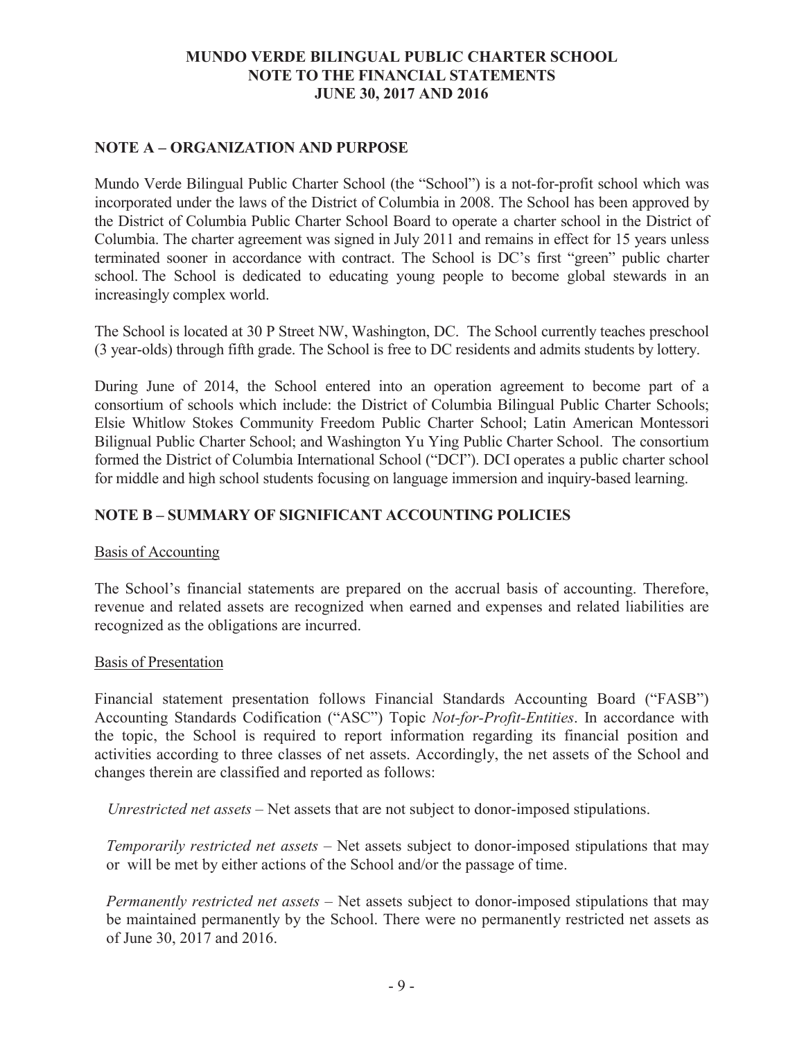## **NOTE A – ORGANIZATION AND PURPOSE**

Mundo Verde Bilingual Public Charter School (the "School") is a not-for-profit school which was incorporated under the laws of the District of Columbia in 2008. The School has been approved by the District of Columbia Public Charter School Board to operate a charter school in the District of Columbia. The charter agreement was signed in July 2011 and remains in effect for 15 years unless terminated sooner in accordance with contract. The School is DC's first "green" public charter school. The School is dedicated to educating young people to become global stewards in an increasingly complex world.

The School is located at 30 P Street NW, Washington, DC. The School currently teaches preschool (3 year-olds) through fifth grade. The School is free to DC residents and admits students by lottery.

During June of 2014, the School entered into an operation agreement to become part of a consortium of schools which include: the District of Columbia Bilingual Public Charter Schools; Elsie Whitlow Stokes Community Freedom Public Charter School; Latin American Montessori Bilignual Public Charter School; and Washington Yu Ying Public Charter School. The consortium formed the District of Columbia International School ("DCI"). DCI operates a public charter school for middle and high school students focusing on language immersion and inquiry-based learning.

## **NOTE B – SUMMARY OF SIGNIFICANT ACCOUNTING POLICIES**

### Basis of Accounting

The School's financial statements are prepared on the accrual basis of accounting. Therefore, revenue and related assets are recognized when earned and expenses and related liabilities are recognized as the obligations are incurred.

### Basis of Presentation

Financial statement presentation follows Financial Standards Accounting Board ("FASB") Accounting Standards Codification ("ASC") Topic *Not-for-Profit-Entities*. In accordance with the topic, the School is required to report information regarding its financial position and activities according to three classes of net assets. Accordingly, the net assets of the School and changes therein are classified and reported as follows:

*Unrestricted net assets* – Net assets that are not subject to donor-imposed stipulations.

*Temporarily restricted net assets* – Net assets subject to donor-imposed stipulations that may or will be met by either actions of the School and/or the passage of time.

*Permanently restricted net assets –* Net assets subject to donor-imposed stipulations that may be maintained permanently by the School. There were no permanently restricted net assets as of June 30, 2017 and 2016.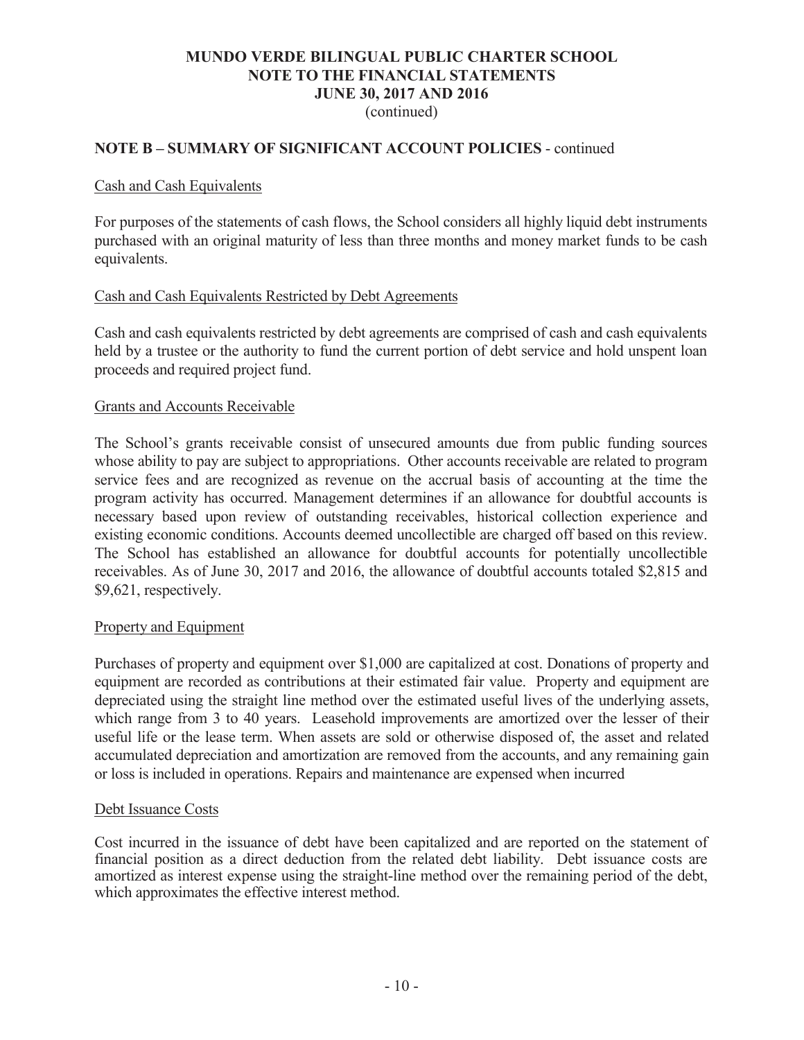## (continued)

### **NOTE B – SUMMARY OF SIGNIFICANT ACCOUNT POLICIES** - continued

### Cash and Cash Equivalents

For purposes of the statements of cash flows, the School considers all highly liquid debt instruments purchased with an original maturity of less than three months and money market funds to be cash equivalents.

### Cash and Cash Equivalents Restricted by Debt Agreements

Cash and cash equivalents restricted by debt agreements are comprised of cash and cash equivalents held by a trustee or the authority to fund the current portion of debt service and hold unspent loan proceeds and required project fund.

### Grants and Accounts Receivable

The School's grants receivable consist of unsecured amounts due from public funding sources whose ability to pay are subject to appropriations. Other accounts receivable are related to program service fees and are recognized as revenue on the accrual basis of accounting at the time the program activity has occurred. Management determines if an allowance for doubtful accounts is necessary based upon review of outstanding receivables, historical collection experience and existing economic conditions. Accounts deemed uncollectible are charged off based on this review. The School has established an allowance for doubtful accounts for potentially uncollectible receivables. As of June 30, 2017 and 2016, the allowance of doubtful accounts totaled \$2,815 and \$9,621, respectively.

### Property and Equipment

Purchases of property and equipment over \$1,000 are capitalized at cost. Donations of property and equipment are recorded as contributions at their estimated fair value. Property and equipment are depreciated using the straight line method over the estimated useful lives of the underlying assets, which range from 3 to 40 years. Leasehold improvements are amortized over the lesser of their useful life or the lease term. When assets are sold or otherwise disposed of, the asset and related accumulated depreciation and amortization are removed from the accounts, and any remaining gain or loss is included in operations. Repairs and maintenance are expensed when incurred

### Debt Issuance Costs

Cost incurred in the issuance of debt have been capitalized and are reported on the statement of financial position as a direct deduction from the related debt liability. Debt issuance costs are amortized as interest expense using the straight-line method over the remaining period of the debt, which approximates the effective interest method.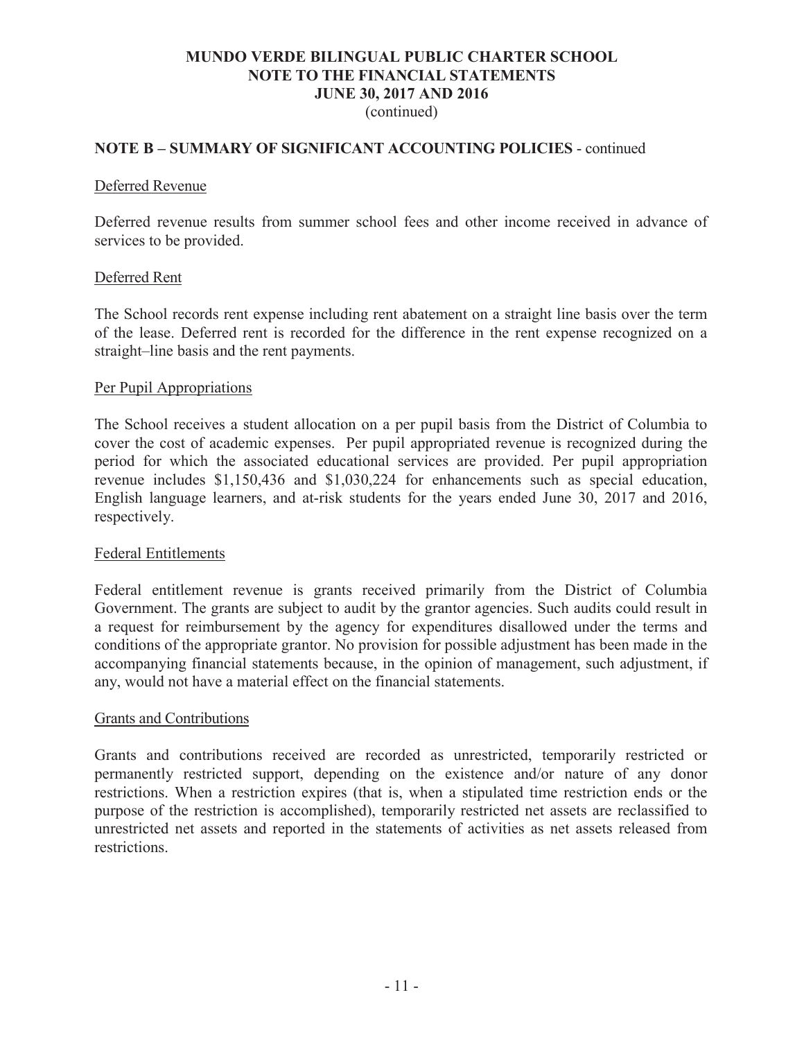## **NOTE B – SUMMARY OF SIGNIFICANT ACCOUNTING POLICIES** - continued

### Deferred Revenue

Deferred revenue results from summer school fees and other income received in advance of services to be provided.

### Deferred Rent

The School records rent expense including rent abatement on a straight line basis over the term of the lease. Deferred rent is recorded for the difference in the rent expense recognized on a straight–line basis and the rent payments.

### Per Pupil Appropriations

The School receives a student allocation on a per pupil basis from the District of Columbia to cover the cost of academic expenses. Per pupil appropriated revenue is recognized during the period for which the associated educational services are provided. Per pupil appropriation revenue includes \$1,150,436 and \$1,030,224 for enhancements such as special education, English language learners, and at-risk students for the years ended June 30, 2017 and 2016, respectively.

### Federal Entitlements

Federal entitlement revenue is grants received primarily from the District of Columbia Government. The grants are subject to audit by the grantor agencies. Such audits could result in a request for reimbursement by the agency for expenditures disallowed under the terms and conditions of the appropriate grantor. No provision for possible adjustment has been made in the accompanying financial statements because, in the opinion of management, such adjustment, if any, would not have a material effect on the financial statements.

### Grants and Contributions

Grants and contributions received are recorded as unrestricted, temporarily restricted or permanently restricted support, depending on the existence and/or nature of any donor restrictions. When a restriction expires (that is, when a stipulated time restriction ends or the purpose of the restriction is accomplished), temporarily restricted net assets are reclassified to unrestricted net assets and reported in the statements of activities as net assets released from restrictions.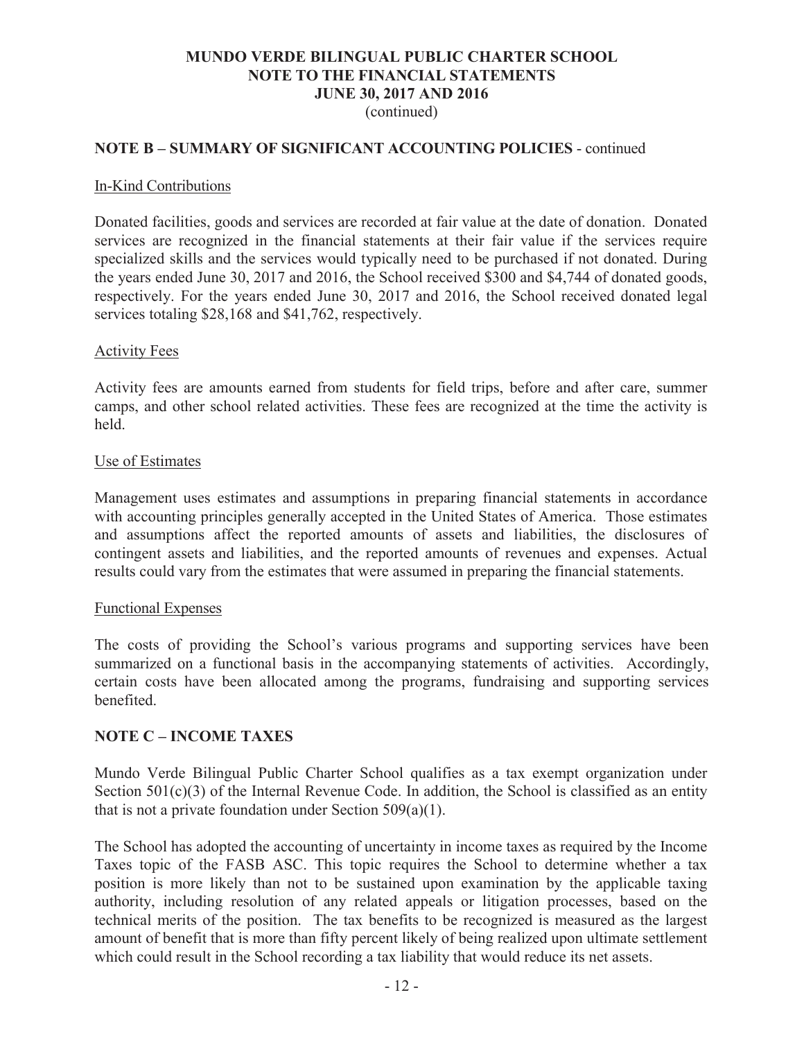(continued)

### **NOTE B – SUMMARY OF SIGNIFICANT ACCOUNTING POLICIES** - continued

### In-Kind Contributions

Donated facilities, goods and services are recorded at fair value at the date of donation. Donated services are recognized in the financial statements at their fair value if the services require specialized skills and the services would typically need to be purchased if not donated. During the years ended June 30, 2017 and 2016, the School received \$300 and \$4,744 of donated goods, respectively. For the years ended June 30, 2017 and 2016, the School received donated legal services totaling \$28,168 and \$41,762, respectively.

### Activity Fees

Activity fees are amounts earned from students for field trips, before and after care, summer camps, and other school related activities. These fees are recognized at the time the activity is held.

### Use of Estimates

Management uses estimates and assumptions in preparing financial statements in accordance with accounting principles generally accepted in the United States of America. Those estimates and assumptions affect the reported amounts of assets and liabilities, the disclosures of contingent assets and liabilities, and the reported amounts of revenues and expenses. Actual results could vary from the estimates that were assumed in preparing the financial statements.

### Functional Expenses

The costs of providing the School's various programs and supporting services have been summarized on a functional basis in the accompanying statements of activities. Accordingly, certain costs have been allocated among the programs, fundraising and supporting services benefited.

### **NOTE C – INCOME TAXES**

Mundo Verde Bilingual Public Charter School qualifies as a tax exempt organization under Section 501(c)(3) of the Internal Revenue Code. In addition, the School is classified as an entity that is not a private foundation under Section  $509(a)(1)$ .

The School has adopted the accounting of uncertainty in income taxes as required by the Income Taxes topic of the FASB ASC. This topic requires the School to determine whether a tax position is more likely than not to be sustained upon examination by the applicable taxing authority, including resolution of any related appeals or litigation processes, based on the technical merits of the position. The tax benefits to be recognized is measured as the largest amount of benefit that is more than fifty percent likely of being realized upon ultimate settlement which could result in the School recording a tax liability that would reduce its net assets.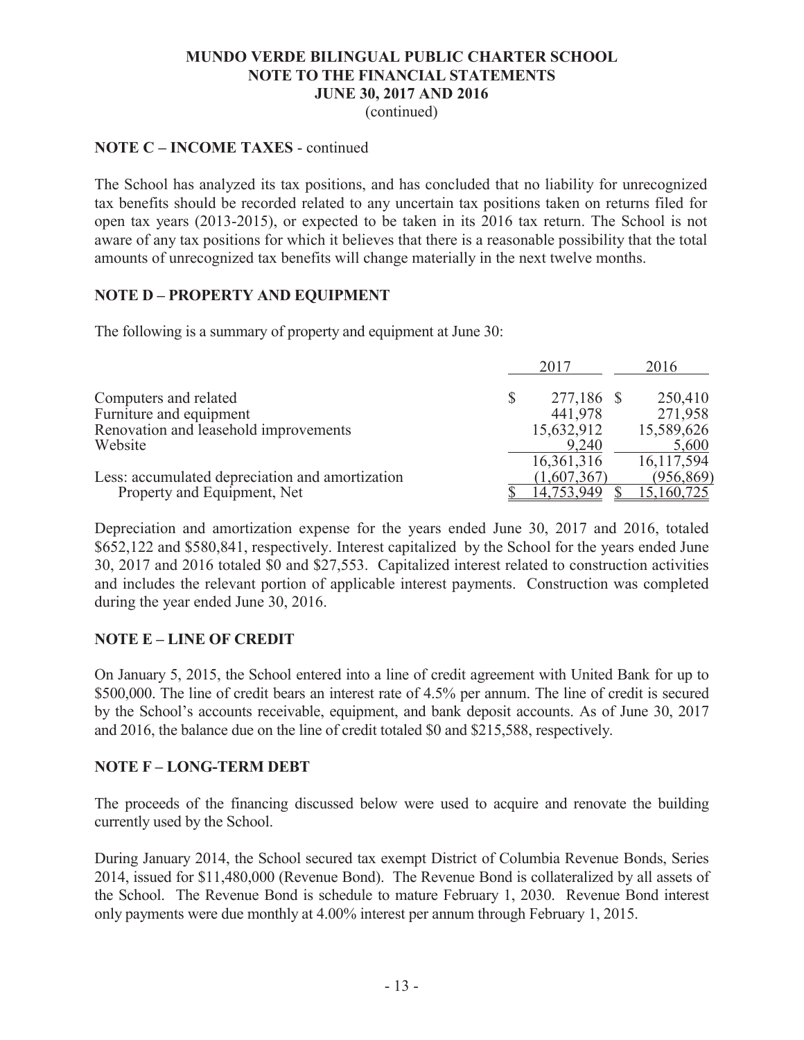(continued)

### **NOTE C – INCOME TAXES** - continued

The School has analyzed its tax positions, and has concluded that no liability for unrecognized tax benefits should be recorded related to any uncertain tax positions taken on returns filed for open tax years (2013-2015), or expected to be taken in its 2016 tax return. The School is not aware of any tax positions for which it believes that there is a reasonable possibility that the total amounts of unrecognized tax benefits will change materially in the next twelve months.

## **NOTE D – PROPERTY AND EQUIPMENT**

The following is a summary of property and equipment at June 30:

|                                                 | 2017             | 2016         |
|-------------------------------------------------|------------------|--------------|
| Computers and related                           | \$<br>277,186 \$ | 250,410      |
| Furniture and equipment                         | 441,978          | 271,958      |
| Renovation and leasehold improvements           | 15,632,912       | 15,589,626   |
| Website                                         | 9,240            | 5,600        |
|                                                 | 16, 361, 316     | 16, 117, 594 |
| Less: accumulated depreciation and amortization | (1,607,367)      | (956, 869)   |
| Property and Equipment, Net                     | 14,753,949       | 15,160,725   |

Depreciation and amortization expense for the years ended June 30, 2017 and 2016, totaled \$652,122 and \$580,841, respectively. Interest capitalized by the School for the years ended June 30, 2017 and 2016 totaled \$0 and \$27,553. Capitalized interest related to construction activities and includes the relevant portion of applicable interest payments. Construction was completed during the year ended June 30, 2016.

### **NOTE E – LINE OF CREDIT**

On January 5, 2015, the School entered into a line of credit agreement with United Bank for up to \$500,000. The line of credit bears an interest rate of 4.5% per annum. The line of credit is secured by the School's accounts receivable, equipment, and bank deposit accounts. As of June 30, 2017 and 2016, the balance due on the line of credit totaled \$0 and \$215,588, respectively.

### **NOTE F – LONG-TERM DEBT**

The proceeds of the financing discussed below were used to acquire and renovate the building currently used by the School.

During January 2014, the School secured tax exempt District of Columbia Revenue Bonds, Series 2014, issued for \$11,480,000 (Revenue Bond). The Revenue Bond is collateralized by all assets of the School. The Revenue Bond is schedule to mature February 1, 2030. Revenue Bond interest only payments were due monthly at 4.00% interest per annum through February 1, 2015.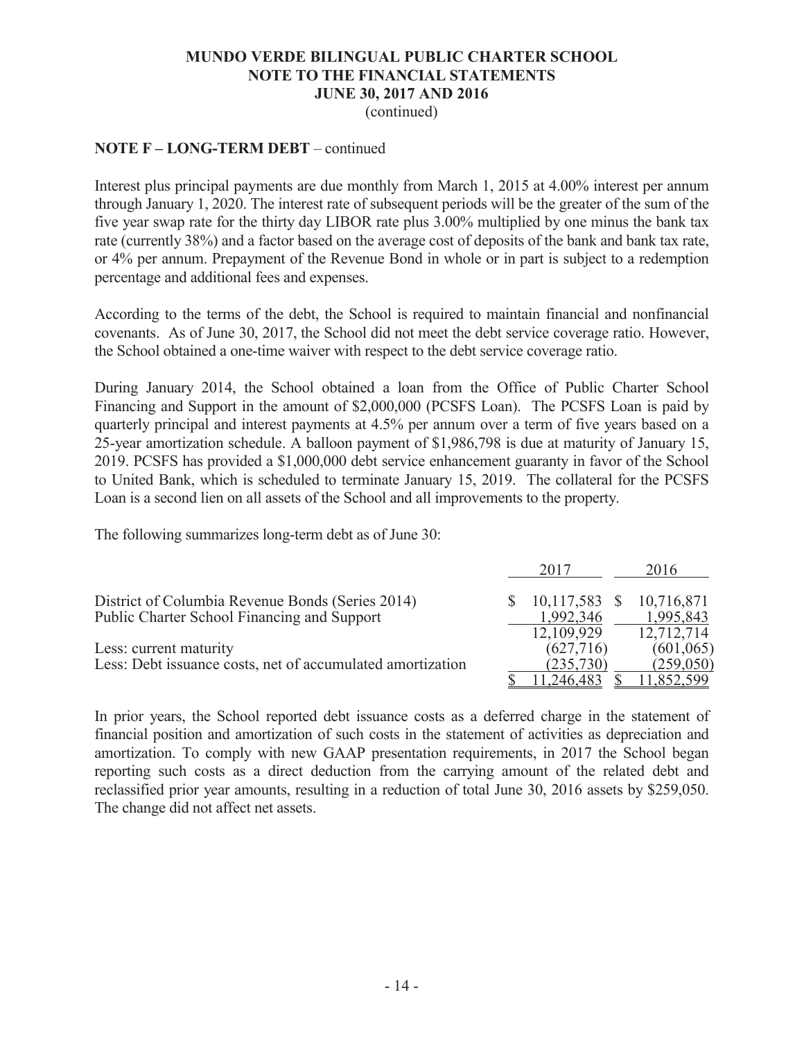(continued)

## **NOTE F – LONG-TERM DEBT** – continued

Interest plus principal payments are due monthly from March 1, 2015 at 4.00% interest per annum through January 1, 2020. The interest rate of subsequent periods will be the greater of the sum of the five year swap rate for the thirty day LIBOR rate plus 3.00% multiplied by one minus the bank tax rate (currently 38%) and a factor based on the average cost of deposits of the bank and bank tax rate, or 4% per annum. Prepayment of the Revenue Bond in whole or in part is subject to a redemption percentage and additional fees and expenses.

According to the terms of the debt, the School is required to maintain financial and nonfinancial covenants. As of June 30, 2017, the School did not meet the debt service coverage ratio. However, the School obtained a one-time waiver with respect to the debt service coverage ratio.

During January 2014, the School obtained a loan from the Office of Public Charter School Financing and Support in the amount of \$2,000,000 (PCSFS Loan). The PCSFS Loan is paid by quarterly principal and interest payments at 4.5% per annum over a term of five years based on a 25-year amortization schedule. A balloon payment of \$1,986,798 is due at maturity of January 15, 2019. PCSFS has provided a \$1,000,000 debt service enhancement guaranty in favor of the School to United Bank, which is scheduled to terminate January 15, 2019. The collateral for the PCSFS Loan is a second lien on all assets of the School and all improvements to the property.

The following summarizes long-term debt as of June 30:

|                                                            | 2017       |              | 2016       |
|------------------------------------------------------------|------------|--------------|------------|
| District of Columbia Revenue Bonds (Series 2014)           | 10,117,583 | <sup>S</sup> | 10,716,871 |
| Public Charter School Financing and Support                | 1,992,346  |              | 1,995,843  |
|                                                            | 12,109,929 |              | 12,712,714 |
| Less: current maturity                                     | (627,716)  |              | (601,065)  |
| Less: Debt issuance costs, net of accumulated amortization | (235, 730) |              | (259, 050) |
|                                                            |            |              | 1,852,599  |

In prior years, the School reported debt issuance costs as a deferred charge in the statement of financial position and amortization of such costs in the statement of activities as depreciation and amortization. To comply with new GAAP presentation requirements, in 2017 the School began reporting such costs as a direct deduction from the carrying amount of the related debt and reclassified prior year amounts, resulting in a reduction of total June 30, 2016 assets by \$259,050. The change did not affect net assets.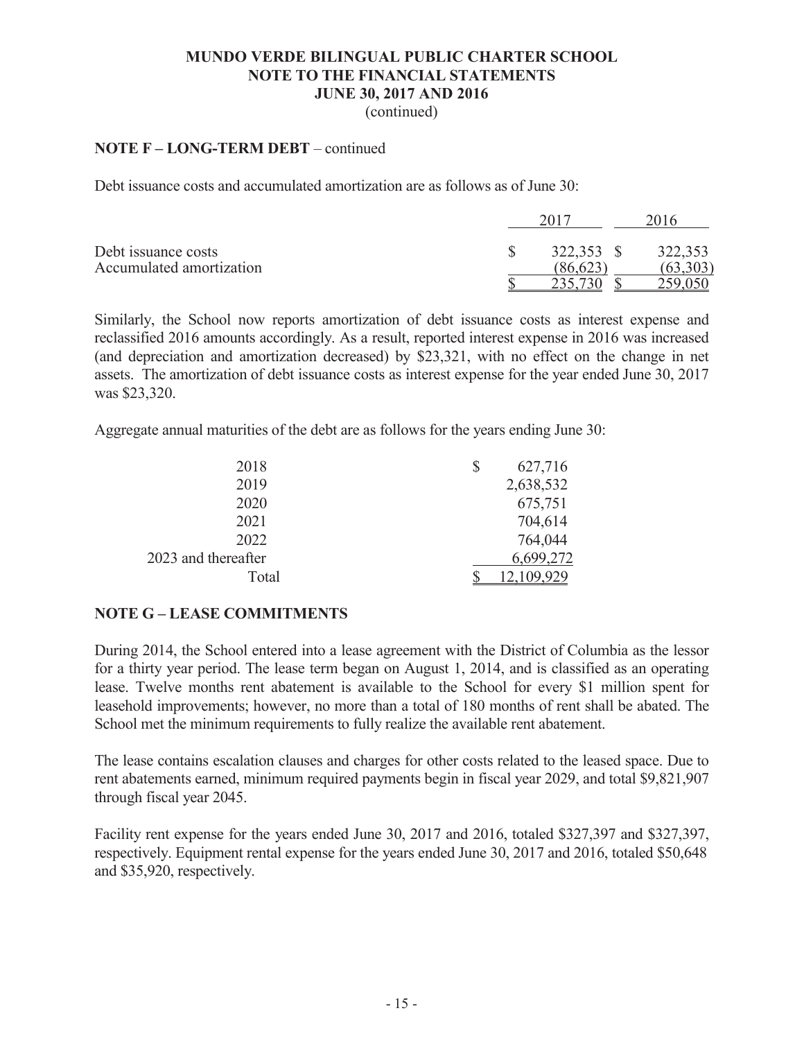(continued)

### **NOTE F – LONG-TERM DEBT** – continued

Debt issuance costs and accumulated amortization are as follows as of June 30:

|                                                 | 2011                    |                     |
|-------------------------------------------------|-------------------------|---------------------|
| Debt issuance costs<br>Accumulated amortization | 322,353 \$<br>(86, 623) | 322,353<br>(63,303) |
|                                                 |                         |                     |

Similarly, the School now reports amortization of debt issuance costs as interest expense and reclassified 2016 amounts accordingly. As a result, reported interest expense in 2016 was increased (and depreciation and amortization decreased) by \$23,321, with no effect on the change in net assets. The amortization of debt issuance costs as interest expense for the year ended June 30, 2017 was \$23,320.

Aggregate annual maturities of the debt are as follows for the years ending June 30:

| 2018                | 627,716   |
|---------------------|-----------|
| 2019                | 2,638,532 |
| 2020                | 675,751   |
| 2021                | 704,614   |
| 2022                | 764,044   |
| 2023 and thereafter | 6.699.272 |
| Total               |           |

### **NOTE G – LEASE COMMITMENTS**

During 2014, the School entered into a lease agreement with the District of Columbia as the lessor for a thirty year period. The lease term began on August 1, 2014, and is classified as an operating lease. Twelve months rent abatement is available to the School for every \$1 million spent for leasehold improvements; however, no more than a total of 180 months of rent shall be abated. The School met the minimum requirements to fully realize the available rent abatement.

The lease contains escalation clauses and charges for other costs related to the leased space. Due to rent abatements earned, minimum required payments begin in fiscal year 2029, and total \$9,821,907 through fiscal year 2045.

Facility rent expense for the years ended June 30, 2017 and 2016, totaled \$327,397 and \$327,397, respectively. Equipment rental expense for the years ended June 30, 2017 and 2016, totaled \$50,648 and \$35,920, respectively.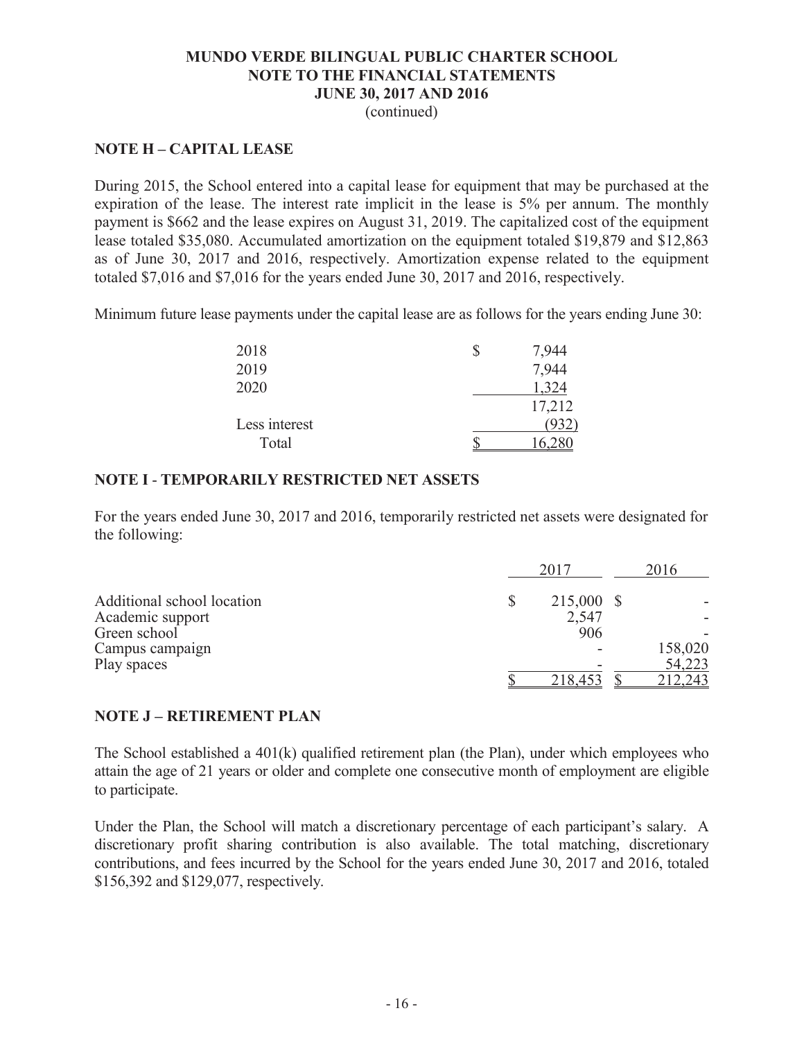(continued)

## **NOTE H – CAPITAL LEASE**

During 2015, the School entered into a capital lease for equipment that may be purchased at the expiration of the lease. The interest rate implicit in the lease is 5% per annum. The monthly payment is \$662 and the lease expires on August 31, 2019. The capitalized cost of the equipment lease totaled \$35,080. Accumulated amortization on the equipment totaled \$19,879 and \$12,863 as of June 30, 2017 and 2016, respectively. Amortization expense related to the equipment totaled \$7,016 and \$7,016 for the years ended June 30, 2017 and 2016, respectively.

Minimum future lease payments under the capital lease are as follows for the years ending June 30:

| 2018          | \$<br>7,944 |
|---------------|-------------|
| 2019          | 7,944       |
| 2020          | 1,324       |
|               | 17,212      |
| Less interest | (932)       |
| Total         |             |

## **NOTE I** - **TEMPORARILY RESTRICTED NET ASSETS**

For the years ended June 30, 2017 and 2016, temporarily restricted net assets were designated for the following:

|                            | 2017 |            | 2016 |         |
|----------------------------|------|------------|------|---------|
| Additional school location |      | 215,000 \$ |      |         |
| Academic support           |      | 2,547      |      |         |
| Green school               |      | 906        |      |         |
| Campus campaign            |      |            |      | 158,020 |
| Play spaces                |      |            |      | 54,223  |
|                            |      | 218,453    |      | 212,243 |

### **NOTE J – RETIREMENT PLAN**

The School established a 401(k) qualified retirement plan (the Plan), under which employees who attain the age of 21 years or older and complete one consecutive month of employment are eligible to participate.

Under the Plan, the School will match a discretionary percentage of each participant's salary. A discretionary profit sharing contribution is also available. The total matching, discretionary contributions, and fees incurred by the School for the years ended June 30, 2017 and 2016, totaled \$156,392 and \$129,077, respectively.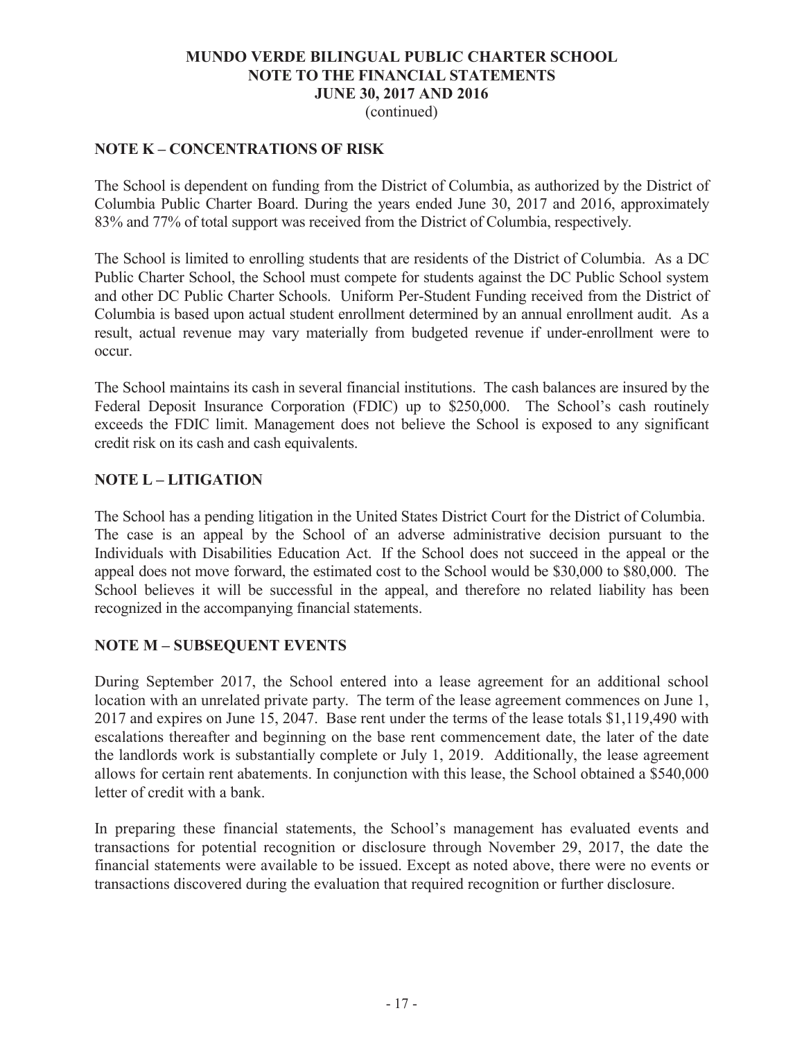(continued)

## **NOTE K – CONCENTRATIONS OF RISK**

The School is dependent on funding from the District of Columbia, as authorized by the District of Columbia Public Charter Board. During the years ended June 30, 2017 and 2016, approximately 83% and 77% of total support was received from the District of Columbia, respectively.

The School is limited to enrolling students that are residents of the District of Columbia. As a DC Public Charter School, the School must compete for students against the DC Public School system and other DC Public Charter Schools. Uniform Per-Student Funding received from the District of Columbia is based upon actual student enrollment determined by an annual enrollment audit. As a result, actual revenue may vary materially from budgeted revenue if under-enrollment were to occur.

The School maintains its cash in several financial institutions. The cash balances are insured by the Federal Deposit Insurance Corporation (FDIC) up to \$250,000. The School's cash routinely exceeds the FDIC limit. Management does not believe the School is exposed to any significant credit risk on its cash and cash equivalents.

## **NOTE L – LITIGATION**

The School has a pending litigation in the United States District Court for the District of Columbia. The case is an appeal by the School of an adverse administrative decision pursuant to the Individuals with Disabilities Education Act. If the School does not succeed in the appeal or the appeal does not move forward, the estimated cost to the School would be \$30,000 to \$80,000. The School believes it will be successful in the appeal, and therefore no related liability has been recognized in the accompanying financial statements.

## **NOTE M – SUBSEQUENT EVENTS**

During September 2017, the School entered into a lease agreement for an additional school location with an unrelated private party. The term of the lease agreement commences on June 1, 2017 and expires on June 15, 2047. Base rent under the terms of the lease totals \$1,119,490 with escalations thereafter and beginning on the base rent commencement date, the later of the date the landlords work is substantially complete or July 1, 2019. Additionally, the lease agreement allows for certain rent abatements. In conjunction with this lease, the School obtained a \$540,000 letter of credit with a bank.

In preparing these financial statements, the School's management has evaluated events and transactions for potential recognition or disclosure through November 29, 2017, the date the financial statements were available to be issued. Except as noted above, there were no events or transactions discovered during the evaluation that required recognition or further disclosure.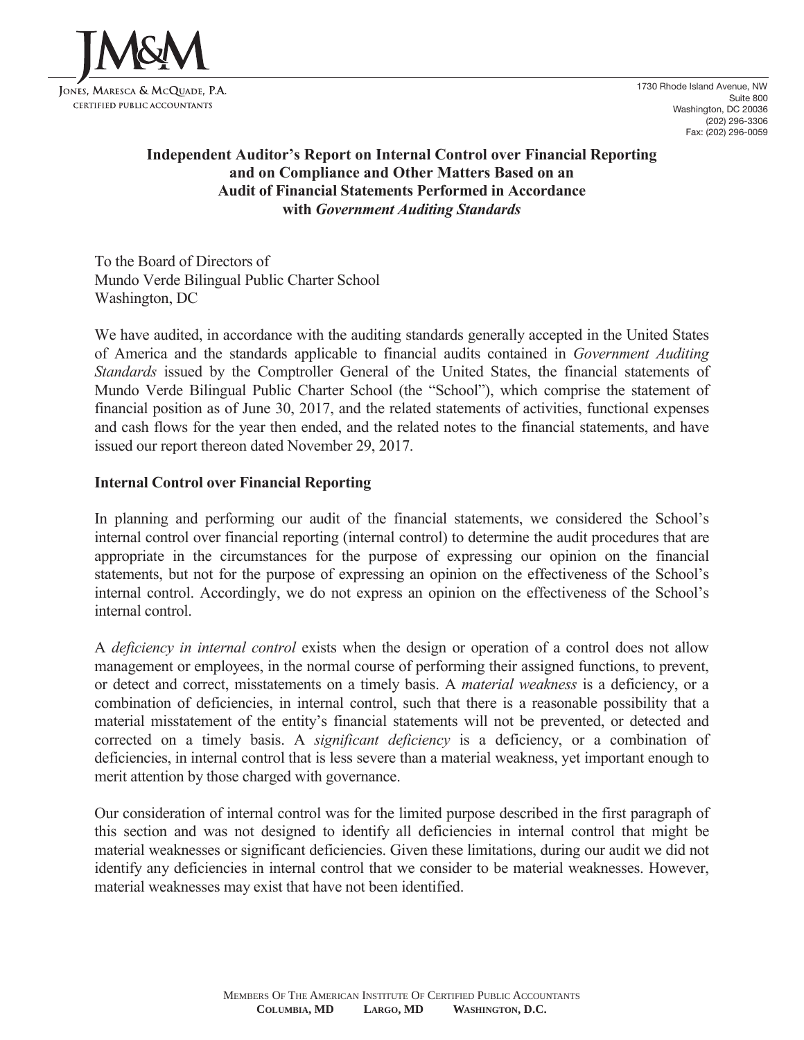

1730 Rhode Island Avenue, NW Suite 800 Washington, DC 20036 (202) 296-3306 Fax: (202) 296-0059

## **Independent Auditor's Report on Internal Control over Financial Reporting and on Compliance and Other Matters Based on an Audit of Financial Statements Performed in Accordance with** *Government Auditing Standards*

To the Board of Directors of Mundo Verde Bilingual Public Charter School Washington, DC

We have audited, in accordance with the auditing standards generally accepted in the United States of America and the standards applicable to financial audits contained in *Government Auditing Standards* issued by the Comptroller General of the United States, the financial statements of Mundo Verde Bilingual Public Charter School (the "School"), which comprise the statement of financial position as of June 30, 2017, and the related statements of activities, functional expenses and cash flows for the year then ended, and the related notes to the financial statements, and have issued our report thereon dated November 29, 2017.

## **Internal Control over Financial Reporting**

In planning and performing our audit of the financial statements, we considered the School's internal control over financial reporting (internal control) to determine the audit procedures that are appropriate in the circumstances for the purpose of expressing our opinion on the financial statements, but not for the purpose of expressing an opinion on the effectiveness of the School's internal control. Accordingly, we do not express an opinion on the effectiveness of the School's internal control.

A *deficiency in internal control* exists when the design or operation of a control does not allow management or employees, in the normal course of performing their assigned functions, to prevent, or detect and correct, misstatements on a timely basis. A *material weakness* is a deficiency, or a combination of deficiencies, in internal control, such that there is a reasonable possibility that a material misstatement of the entity's financial statements will not be prevented, or detected and corrected on a timely basis. A *significant deficiency* is a deficiency, or a combination of deficiencies, in internal control that is less severe than a material weakness, yet important enough to merit attention by those charged with governance.

Our consideration of internal control was for the limited purpose described in the first paragraph of this section and was not designed to identify all deficiencies in internal control that might be material weaknesses or significant deficiencies. Given these limitations, during our audit we did not identify any deficiencies in internal control that we consider to be material weaknesses. However, material weaknesses may exist that have not been identified.